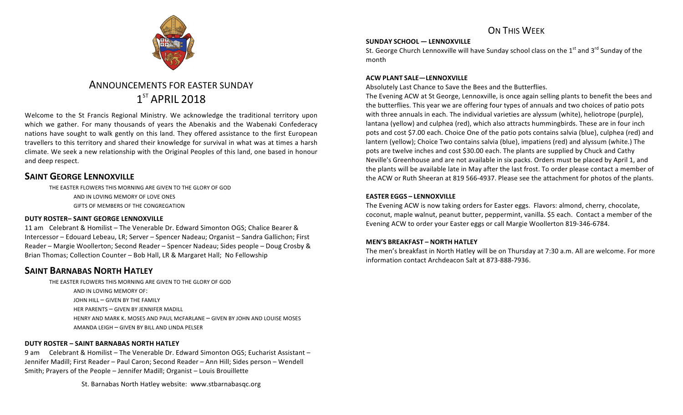

# ANNOUNCEMENTS FOR EASTER SUNDAY  $1<sup>ST</sup>$  APRIL 2018

Welcome to the St Francis Regional Ministry. We acknowledge the traditional territory upon which we gather. For many thousands of years the Abenakis and the Wabenaki Confederacy nations have sought to walk gently on this land. They offered assistance to the first European travellers to this territory and shared their knowledge for survival in what was at times a harsh climate. We seek a new relationship with the Original Peoples of this land, one based in honour and deep respect.

## **SAINT GEORGE LENNOXVILLE**

THE EASTER FLOWERS THIS MORNING ARE GIVEN TO THE GLORY OF GOD AND IN LOVING MEMORY OF LOVE ONES **GIFTS OF MEMBERS OF THE CONGREGATION** 

### **DUTY ROSTER– SAINT GEORGE LENNOXVILLE**

11 am Celebrant & Homilist – The Venerable Dr. Edward Simonton OGS: Chalice Bearer & Intercessor – Edouard Lebeau, LR; Server – Spencer Nadeau; Organist – Sandra Gallichon; First Reader – Margie Woollerton; Second Reader – Spencer Nadeau; Sides people – Doug Crosby & Brian Thomas; Collection Counter - Bob Hall, LR & Margaret Hall; No Fellowship

### **SAINT BARNABAS NORTH HATLEY**

THE EASTER FLOWERS THIS MORNING ARE GIVEN TO THE GLORY OF GOD AND IN LOVING MEMORY OF: JOHN HILL - GIVEN BY THE FAMILY HER PARENTS - GIVEN BY JENNIFER MADILL HENRY AND MARK K. MOSES AND PAUL MCFARLANE - GIVEN BY JOHN AND LOUISE MOSES AMANDA LEIGH - GIVEN BY BILL AND LINDA PELSER

#### **DUTY ROSTER – SAINT BARNABAS NORTH HATLEY**

9 am Celebrant & Homilist – The Venerable Dr. Edward Simonton OGS; Eucharist Assistant – Jennifer Madill; First Reader – Paul Caron; Second Reader – Ann Hill; Sides person – Wendell Smith; Prayers of the People - Jennifer Madill; Organist - Louis Brouillette

St. Barnabas North Hatley website: www.stbarnabasqc.org

# ON THIS WEEK

#### **SUNDAY SCHOOL — LENNOXVILLE**

St. George Church Lennoxville will have Sunday school class on the  $1<sup>st</sup>$  and  $3<sup>rd</sup>$  Sunday of the month

#### **ACW PLANT SALE—LENNOXVILLE**

Absolutely Last Chance to Save the Bees and the Butterflies.

The Evening ACW at St George, Lennoxville, is once again selling plants to benefit the bees and the butterflies. This year we are offering four types of annuals and two choices of patio pots with three annuals in each. The individual varieties are alyssum (white), heliotrope (purple), lantana (yellow) and culphea (red), which also attracts hummingbirds. These are in four inch pots and cost \$7.00 each. Choice One of the patio pots contains salvia (blue), culphea (red) and lantern (yellow); Choice Two contains salvia (blue), impatiens (red) and alyssum (white.) The pots are twelve inches and cost \$30.00 each. The plants are supplied by Chuck and Cathy Neville's Greenhouse and are not available in six packs. Orders must be placed by April 1, and the plants will be available late in May after the last frost. To order please contact a member of the ACW or Ruth Sheeran at 819 566-4937. Please see the attachment for photos of the plants.

### **EASTER EGGS – LENNOXVILLE**

The Evening ACW is now taking orders for Easter eggs. Flavors: almond, cherry, chocolate, coconut, maple walnut, peanut butter, peppermint, vanilla. \$5 each. Contact a member of the Evening ACW to order your Easter eggs or call Margie Woollerton 819-346-6784.

### **MEN'S BREAKFAST – NORTH HATLEY**

The men's breakfast in North Hatley will be on Thursday at 7:30 a.m. All are welcome. For more information contact Archdeacon Salt at 873-888-7936.